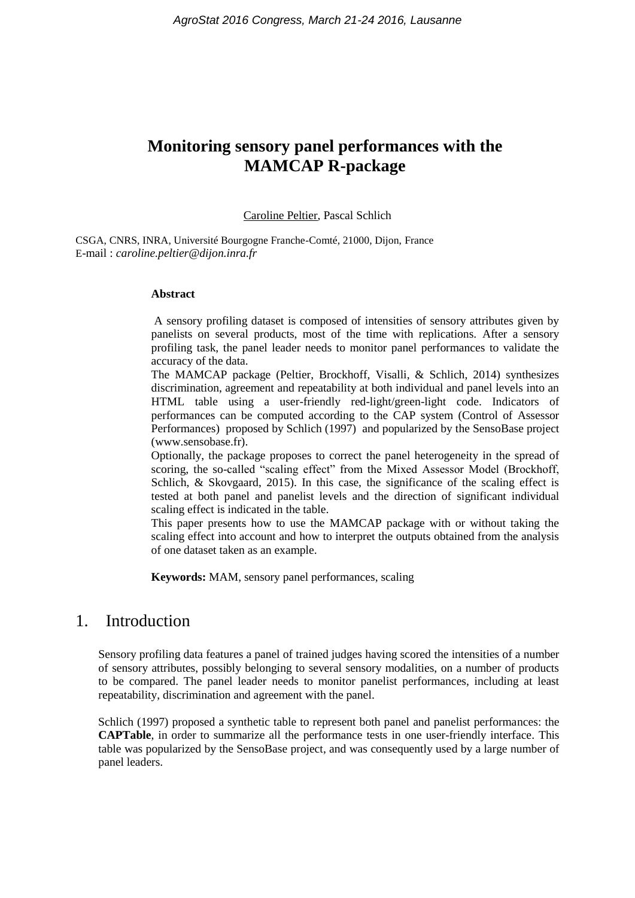# **Monitoring sensory panel performances with the MAMCAP R-package**

#### Caroline Peltier, Pascal Schlich

CSGA, CNRS, INRA, Université Bourgogne Franche-Comté, 21000, Dijon, France E-mail : *caroline.peltier@dijon.inra.fr*

#### **Abstract**

A sensory profiling dataset is composed of intensities of sensory attributes given by panelists on several products, most of the time with replications. After a sensory profiling task, the panel leader needs to monitor panel performances to validate the accuracy of the data.

The MAMCAP package (Peltier, Brockhoff, Visalli, & Schlich, 2014) synthesizes discrimination, agreement and repeatability at both individual and panel levels into an HTML table using a user-friendly red-light/green-light code. Indicators of performances can be computed according to the CAP system (Control of Assessor Performances) proposed by Schlich (1997) and popularized by the SensoBase project (www.sensobase.fr).

Optionally, the package proposes to correct the panel heterogeneity in the spread of scoring, the so-called "scaling effect" from the Mixed Assessor Model (Brockhoff, Schlich, & Skovgaard, 2015). In this case, the significance of the scaling effect is tested at both panel and panelist levels and the direction of significant individual scaling effect is indicated in the table.

This paper presents how to use the MAMCAP package with or without taking the scaling effect into account and how to interpret the outputs obtained from the analysis of one dataset taken as an example.

**Keywords:** MAM, sensory panel performances, scaling

## 1. Introduction

Sensory profiling data features a panel of trained judges having scored the intensities of a number of sensory attributes, possibly belonging to several sensory modalities, on a number of products to be compared. The panel leader needs to monitor panelist performances, including at least repeatability, discrimination and agreement with the panel.

Schlich (1997) proposed a synthetic table to represent both panel and panelist performances: the **CAPTable**, in order to summarize all the performance tests in one user-friendly interface. This table was popularized by the SensoBase project, and was consequently used by a large number of panel leaders.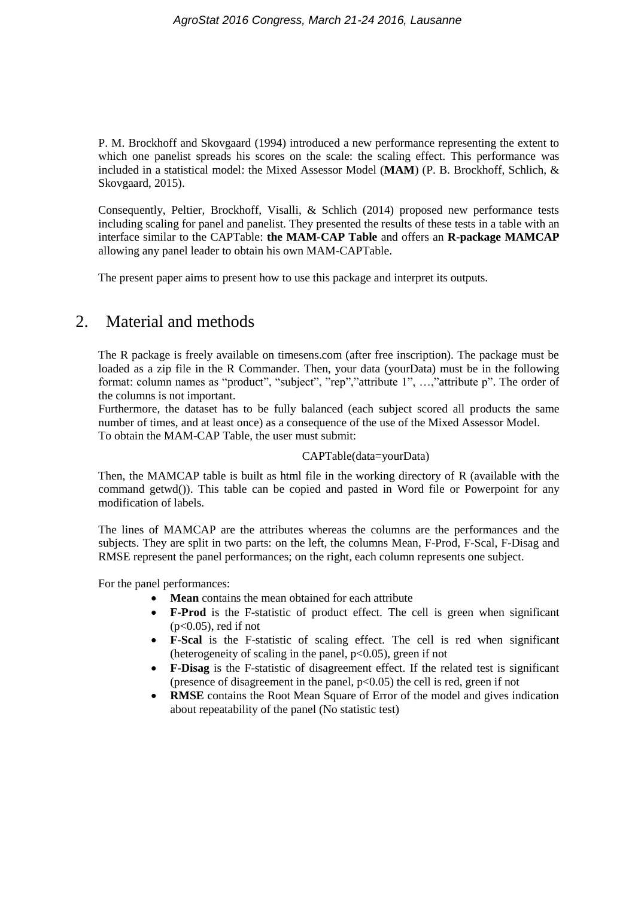[P. M. Brockhoff and Skovgaard \(1994\)](#page-3-0) introduced a new performance representing the extent to which one panelist spreads his scores on the scale: the scaling effect. This performance was included in a statistical model: the Mixed Assessor Model (**MAM**) [\(P. B. Brockhoff, Schlich, &](#page-3-1)  [Skovgaard, 2015\)](#page-3-1).

Consequently, Peltier, Brockhoff, Visalli, & Schlich (2014) proposed new performance tests including scaling for panel and panelist. They presented the results of these tests in a table with an interface similar to the CAPTable: **the MAM-CAP Table** and offers an **R-package MAMCAP** allowing any panel leader to obtain his own MAM-CAPTable.

The present paper aims to present how to use this package and interpret its outputs.

## 2. Material and methods

The R package is freely available on timesens.com (after free inscription). The package must be loaded as a zip file in the R Commander. Then, your data (yourData) must be in the following format: column names as "product", "subject", "rep","attribute 1", ...,"attribute p". The order of the columns is not important.

Furthermore, the dataset has to be fully balanced (each subject scored all products the same number of times, and at least once) as a consequence of the use of the Mixed Assessor Model. To obtain the MAM-CAP Table, the user must submit:

CAPTable(data=yourData)

Then, the MAMCAP table is built as html file in the working directory of R (available with the command getwd()). This table can be copied and pasted in Word file or Powerpoint for any modification of labels.

The lines of MAMCAP are the attributes whereas the columns are the performances and the subjects. They are split in two parts: on the left, the columns Mean, F-Prod, F-Scal, F-Disag and RMSE represent the panel performances; on the right, each column represents one subject.

For the panel performances:

- **Mean** contains the mean obtained for each attribute
- **F-Prod** is the F-statistic of product effect. The cell is green when significant  $(p<0.05)$ , red if not
- **F-Scal** is the F-statistic of scaling effect. The cell is red when significant (heterogeneity of scaling in the panel,  $p<0.05$ ), green if not
- **F-Disag** is the F-statistic of disagreement effect. If the related test is significant (presence of disagreement in the panel,  $p<0.05$ ) the cell is red, green if not
- **RMSE** contains the Root Mean Square of Error of the model and gives indication about repeatability of the panel (No statistic test)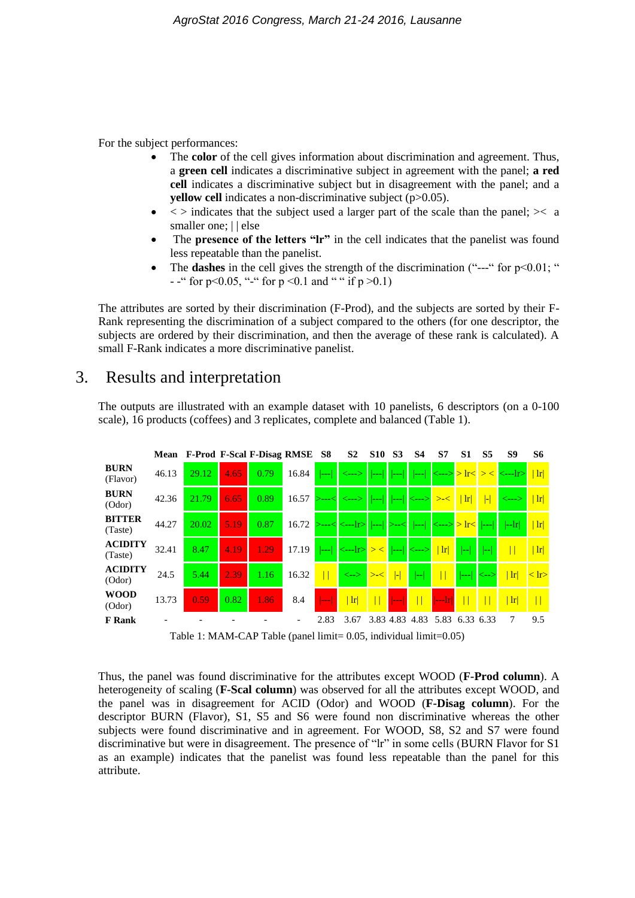For the subject performances:

- The **color** of the cell gives information about discrimination and agreement. Thus, a **green cell** indicates a discriminative subject in agreement with the panel; **a red cell** indicates a discriminative subject but in disagreement with the panel; and a **yellow cell** indicates a non-discriminative subject (p>0.05).
- $\langle \rangle$  indicates that the subject used a larger part of the scale than the panel;  $\rangle$  a smaller one;  $||$  else
- The **presence of the letters "lr"** in the cell indicates that the panelist was found less repeatable than the panelist.
- The **dashes** in the cell gives the strength of the discrimination ("---" for  $p<0.01$ ; " - -" for p<0.05, "-" for p <0.1 and "" if p >0.1)

The attributes are sorted by their discrimination (F-Prod), and the subjects are sorted by their F-Rank representing the discrimination of a subject compared to the others (for one descriptor, the subjects are ordered by their discrimination, and then the average of these rank is calculated). A small F-Rank indicates a more discriminative panelist.

## 3. Results and interpretation

The outputs are illustrated with an example dataset with 10 panelists, 6 descriptors (on a 0-100 scale), 16 products (coffees) and 3 replicates, complete and balanced (Table 1).



Table 1: MAM-CAP Table (panel limit= 0.05, individual limit=0.05)

Thus, the panel was found discriminative for the attributes except WOOD (**F-Prod column**). A heterogeneity of scaling (**F-Scal column**) was observed for all the attributes except WOOD, and the panel was in disagreement for ACID (Odor) and WOOD (**F-Disag column**). For the descriptor BURN (Flavor), S1, S5 and S6 were found non discriminative whereas the other subjects were found discriminative and in agreement. For WOOD, S8, S2 and S7 were found discriminative but were in disagreement. The presence of "lr" in some cells (BURN Flavor for S1 as an example) indicates that the panelist was found less repeatable than the panel for this attribute.